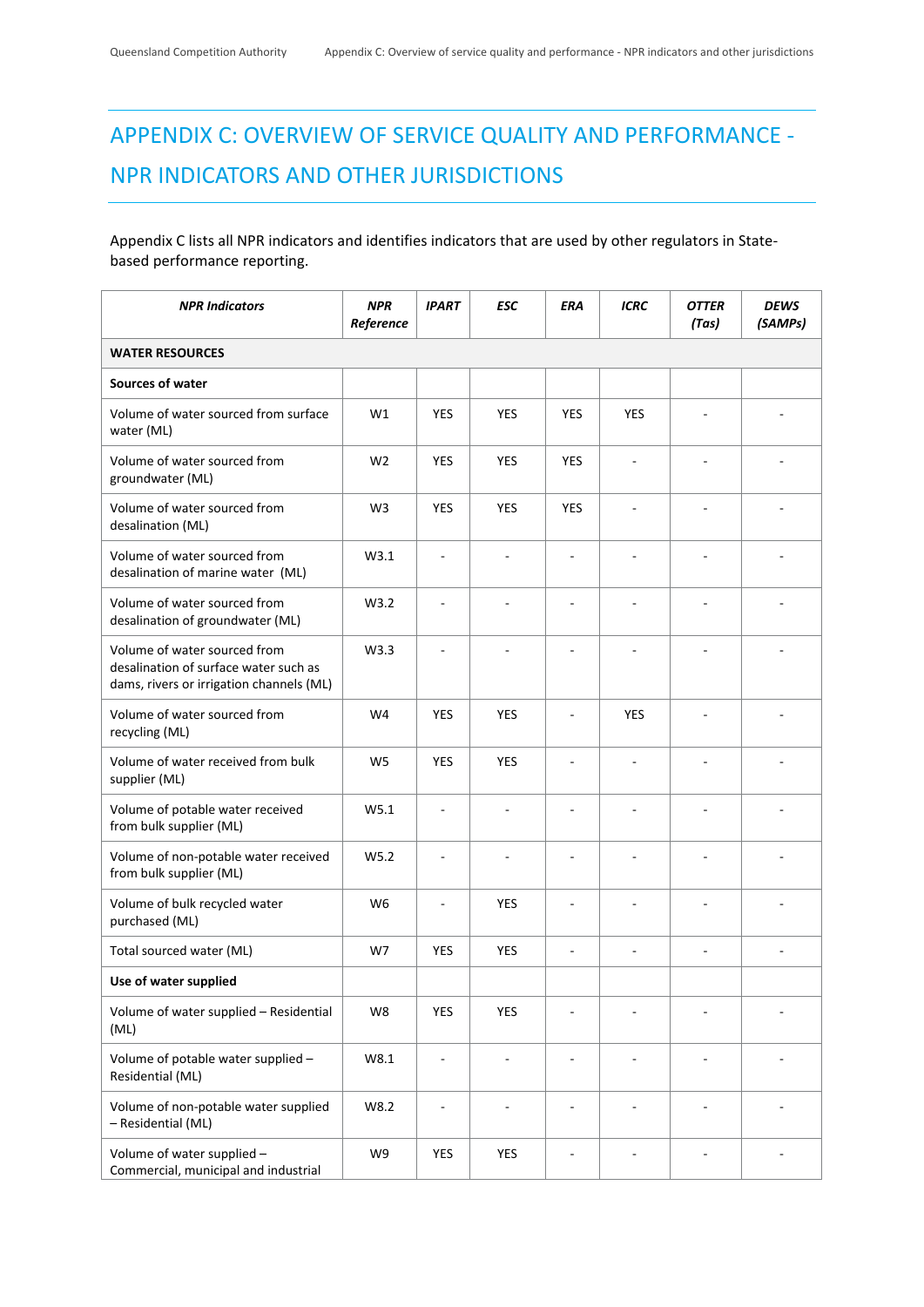## APPENDIX C: OVERVIEW OF SERVICE QUALITY AND PERFORMANCE ‐ NPR INDICATORS AND OTHER JURISDICTIONS

## Appendix C lists all NPR indicators and identifies indicators that are used by other regulators in State‐ based performance reporting.

| <b>NPR Indicators</b>                                                                                             | <b>NPR</b><br>Reference | <b>IPART</b>             | <b>ESC</b>     | ERA                      | <b>ICRC</b>              | <b>OTTER</b><br>(Tas)    | DEWS<br>(SAMPs) |
|-------------------------------------------------------------------------------------------------------------------|-------------------------|--------------------------|----------------|--------------------------|--------------------------|--------------------------|-----------------|
| <b>WATER RESOURCES</b>                                                                                            |                         |                          |                |                          |                          |                          |                 |
| Sources of water                                                                                                  |                         |                          |                |                          |                          |                          |                 |
| Volume of water sourced from surface<br>water (ML)                                                                | W1                      | <b>YES</b>               | <b>YES</b>     | <b>YES</b>               | <b>YES</b>               |                          |                 |
| Volume of water sourced from<br>groundwater (ML)                                                                  | W <sub>2</sub>          | <b>YES</b>               | <b>YES</b>     | <b>YES</b>               | ÷,                       | $\overline{\phantom{a}}$ |                 |
| Volume of water sourced from<br>desalination (ML)                                                                 | W <sub>3</sub>          | <b>YES</b>               | <b>YES</b>     | <b>YES</b>               |                          |                          |                 |
| Volume of water sourced from<br>desalination of marine water (ML)                                                 | W3.1                    | $\overline{a}$           | ä,             | $\overline{\phantom{a}}$ |                          | $\overline{\phantom{a}}$ |                 |
| Volume of water sourced from<br>desalination of groundwater (ML)                                                  | W3.2                    |                          |                |                          |                          | $\overline{\phantom{a}}$ |                 |
| Volume of water sourced from<br>desalination of surface water such as<br>dams, rivers or irrigation channels (ML) | W3.3                    |                          |                |                          |                          |                          |                 |
| Volume of water sourced from<br>recycling (ML)                                                                    | W4                      | <b>YES</b>               | <b>YES</b>     | ÷,                       | <b>YES</b>               | $\overline{\phantom{a}}$ |                 |
| Volume of water received from bulk<br>supplier (ML)                                                               | W <sub>5</sub>          | <b>YES</b>               | <b>YES</b>     |                          | $\overline{\phantom{a}}$ |                          |                 |
| Volume of potable water received<br>from bulk supplier (ML)                                                       | W5.1                    |                          |                |                          |                          |                          |                 |
| Volume of non-potable water received<br>from bulk supplier (ML)                                                   | W <sub>5.2</sub>        | ä,                       |                |                          |                          |                          |                 |
| Volume of bulk recycled water<br>purchased (ML)                                                                   | W <sub>6</sub>          |                          | YES            |                          |                          |                          |                 |
| Total sourced water (ML)                                                                                          | W7                      | <b>YES</b>               | <b>YES</b>     | $\overline{\phantom{a}}$ | ÷                        | ÷.                       |                 |
| Use of water supplied                                                                                             |                         |                          |                |                          |                          |                          |                 |
| Volume of water supplied - Residential<br>(ML)                                                                    | W8                      | <b>YES</b>               | <b>YES</b>     | ÷,                       | ä,                       | $\sim$                   |                 |
| Volume of potable water supplied -<br>Residential (ML)                                                            | W8.1                    | ÷,                       | $\blacksquare$ | $\overline{\phantom{a}}$ | $\overline{\phantom{a}}$ | $\overline{\phantom{a}}$ |                 |
| Volume of non-potable water supplied<br>- Residential (ML)                                                        | W8.2                    | $\overline{\phantom{a}}$ | ÷,             | $\overline{\phantom{a}}$ | $\overline{\phantom{a}}$ |                          |                 |
| Volume of water supplied -<br>Commercial, municipal and industrial                                                | W9                      | <b>YES</b>               | YES            |                          |                          |                          |                 |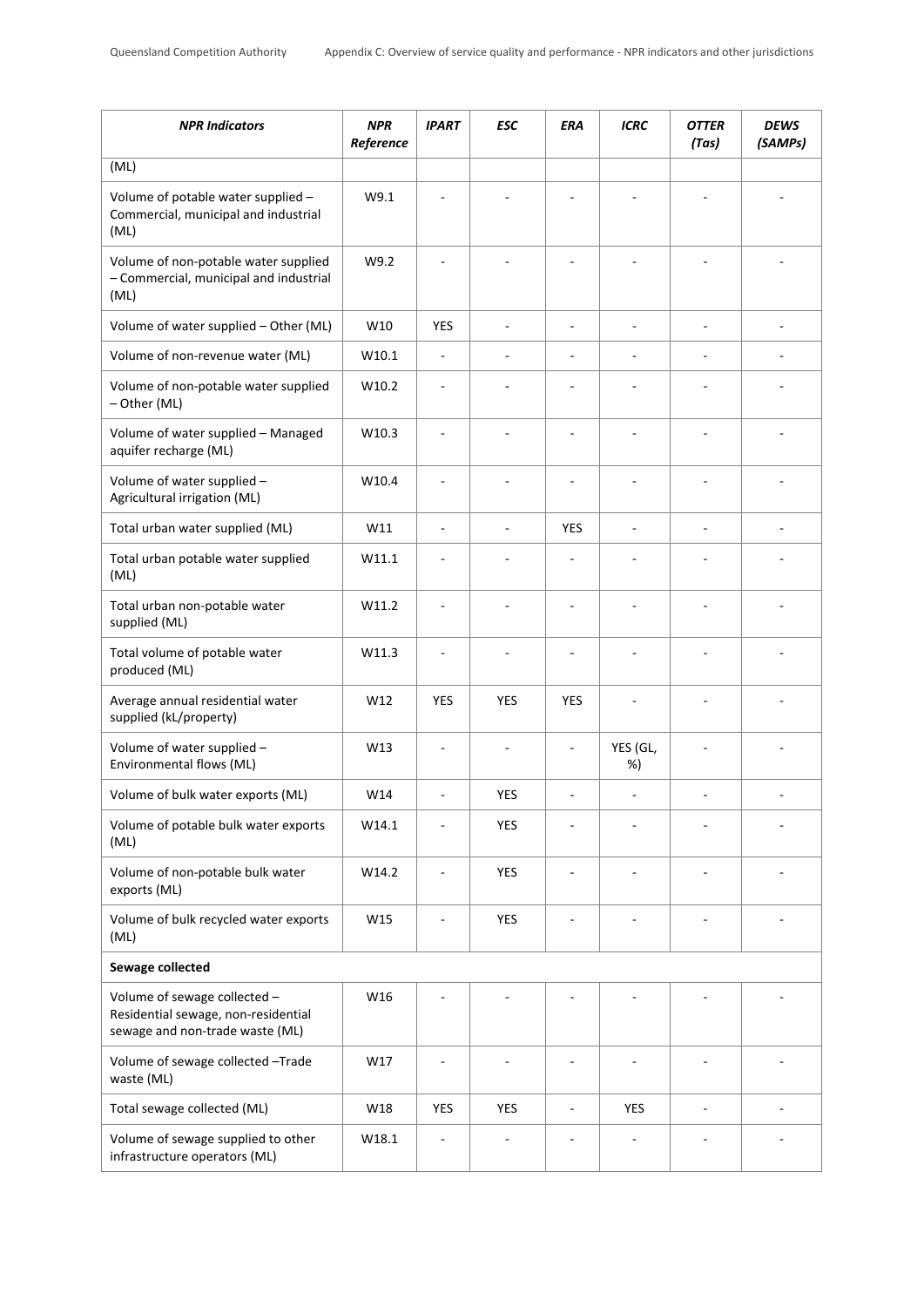| <b>NPR Indicators</b>                                                                                  | <b>NPR</b><br>Reference | <b>IPART</b>             | <b>ESC</b>               | <b>ERA</b> | <b>ICRC</b>              | <b>OTTER</b><br>(Tas) | <b>DEWS</b><br>(SAMPs) |
|--------------------------------------------------------------------------------------------------------|-------------------------|--------------------------|--------------------------|------------|--------------------------|-----------------------|------------------------|
| (ML)                                                                                                   |                         |                          |                          |            |                          |                       |                        |
| Volume of potable water supplied -<br>Commercial, municipal and industrial<br>(ML)                     | W9.1                    |                          |                          |            |                          |                       |                        |
| Volume of non-potable water supplied<br>- Commercial, municipal and industrial<br>(ML)                 | W9.2                    | ä,                       |                          |            |                          | ÷,                    |                        |
| Volume of water supplied - Other (ML)                                                                  | W10                     | <b>YES</b>               | $\overline{\phantom{a}}$ | ÷,         | $\overline{\phantom{a}}$ | $\sim$                | Ĭ.                     |
| Volume of non-revenue water (ML)                                                                       | W10.1                   | $\overline{\phantom{a}}$ |                          |            | ÷,                       |                       |                        |
| Volume of non-potable water supplied<br>- Other (ML)                                                   | W10.2                   |                          |                          |            |                          |                       |                        |
| Volume of water supplied - Managed<br>aquifer recharge (ML)                                            | W10.3                   |                          |                          |            |                          |                       |                        |
| Volume of water supplied -<br>Agricultural irrigation (ML)                                             | W10.4                   |                          |                          |            |                          |                       |                        |
| Total urban water supplied (ML)                                                                        | W11                     | $\sim$                   |                          | <b>YES</b> | $\overline{\phantom{a}}$ | ÷,                    |                        |
| Total urban potable water supplied<br>(ML)                                                             | W11.1                   | ÷,                       |                          |            |                          |                       |                        |
| Total urban non-potable water<br>supplied (ML)                                                         | W11.2                   | ä,                       |                          |            |                          |                       |                        |
| Total volume of potable water<br>produced (ML)                                                         | W11.3                   | $\sim$                   |                          | ٠          |                          | ä,                    |                        |
| Average annual residential water<br>supplied (kL/property)                                             | W12                     | <b>YES</b>               | <b>YES</b>               | <b>YES</b> |                          |                       |                        |
| Volume of water supplied -<br>Environmental flows (ML)                                                 | W13                     |                          |                          |            | YES (GL,<br>%)           |                       |                        |
| Volume of bulk water exports (ML)                                                                      | W14                     |                          | <b>YES</b>               |            | $\sim$                   |                       |                        |
| Volume of potable bulk water exports<br>(ML)                                                           | W14.1                   |                          | YES                      |            |                          |                       |                        |
| Volume of non-potable bulk water<br>exports (ML)                                                       | W14.2                   |                          | <b>YES</b>               |            |                          |                       |                        |
| Volume of bulk recycled water exports<br>(ML)                                                          | W15                     |                          | YES                      |            |                          |                       |                        |
| <b>Sewage collected</b>                                                                                |                         |                          |                          |            |                          |                       |                        |
| Volume of sewage collected -<br>Residential sewage, non-residential<br>sewage and non-trade waste (ML) | W16                     |                          |                          |            |                          |                       |                        |
| Volume of sewage collected -Trade<br>waste (ML)                                                        | W17                     |                          |                          |            |                          |                       |                        |
| Total sewage collected (ML)                                                                            | W18                     | <b>YES</b>               | <b>YES</b>               | ÷,         | <b>YES</b>               | $\sim$                |                        |
| Volume of sewage supplied to other<br>infrastructure operators (ML)                                    | W18.1                   |                          |                          |            |                          |                       |                        |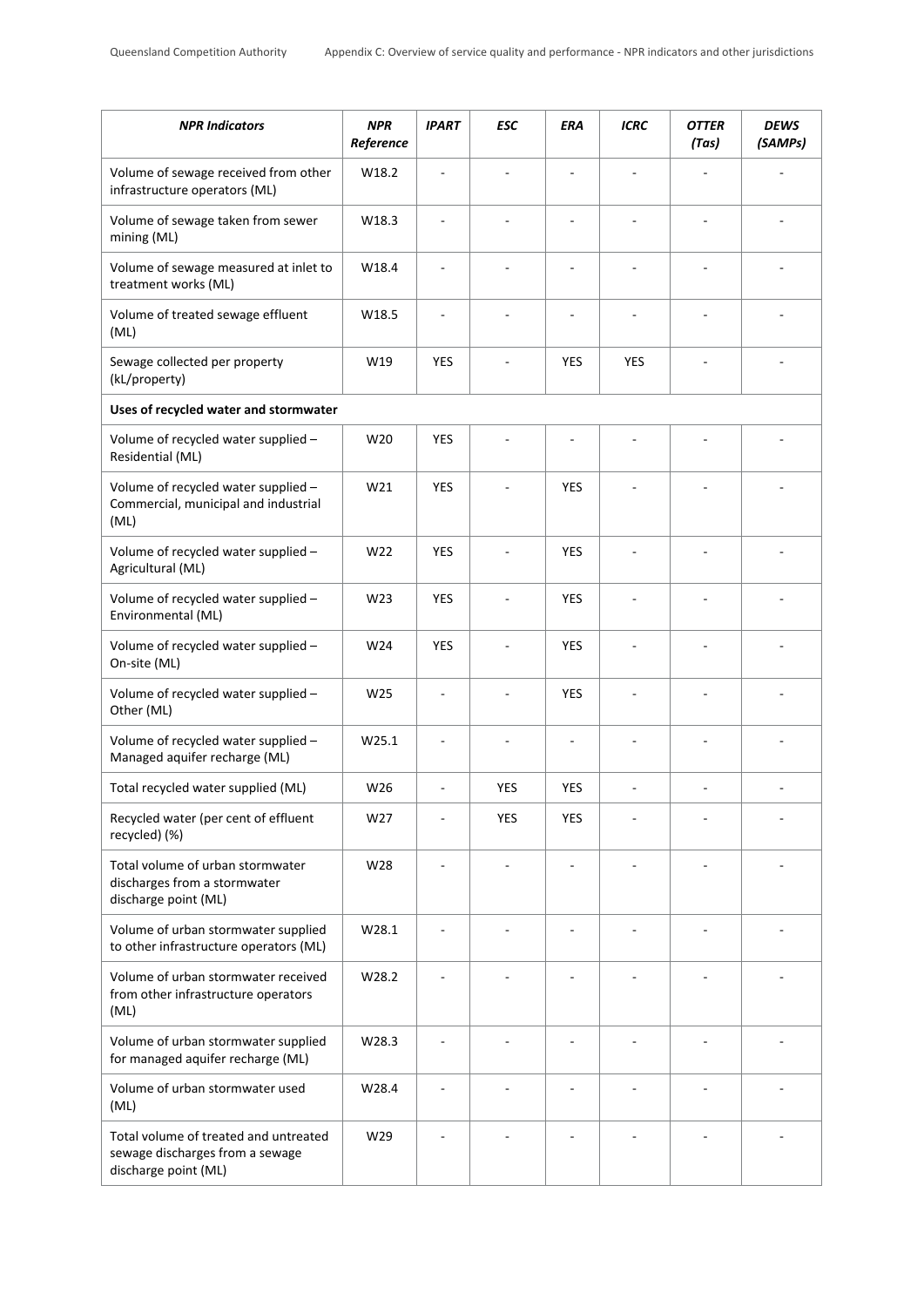| <b>NPR Indicators</b>                                                                            | <b>NPR</b><br>Reference | <b>IPART</b> | <b>ESC</b> | ERA        | ICRC       | <b>OTTER</b><br>(Tas) | <b>DEWS</b><br>(SAMPs) |
|--------------------------------------------------------------------------------------------------|-------------------------|--------------|------------|------------|------------|-----------------------|------------------------|
| Volume of sewage received from other<br>infrastructure operators (ML)                            | W18.2                   | $\sim$       |            |            |            |                       |                        |
| Volume of sewage taken from sewer<br>mining (ML)                                                 | W18.3                   |              |            |            |            |                       |                        |
| Volume of sewage measured at inlet to<br>treatment works (ML)                                    | W18.4                   |              |            |            |            |                       |                        |
| Volume of treated sewage effluent<br>(ML)                                                        | W18.5                   |              |            |            | ä,         |                       |                        |
| Sewage collected per property<br>(kL/property)                                                   | W19                     | <b>YES</b>   |            | <b>YES</b> | <b>YES</b> |                       |                        |
| Uses of recycled water and stormwater                                                            |                         |              |            |            |            |                       |                        |
| Volume of recycled water supplied -<br>Residential (ML)                                          | W20                     | <b>YES</b>   |            |            |            |                       |                        |
| Volume of recycled water supplied -<br>Commercial, municipal and industrial<br>(ML)              | W21                     | <b>YES</b>   |            | <b>YES</b> |            |                       |                        |
| Volume of recycled water supplied -<br>Agricultural (ML)                                         | W22                     | <b>YES</b>   |            | <b>YES</b> | ÷,         |                       | ä,                     |
| Volume of recycled water supplied -<br>Environmental (ML)                                        | W <sub>23</sub>         | <b>YES</b>   | ä,         | <b>YES</b> | ä,         | Ĭ.                    | ä,                     |
| Volume of recycled water supplied -<br>On-site (ML)                                              | W24                     | <b>YES</b>   |            | <b>YES</b> |            |                       |                        |
| Volume of recycled water supplied -<br>Other (ML)                                                | W <sub>25</sub>         | ä,           |            | <b>YES</b> |            |                       |                        |
| Volume of recycled water supplied -<br>Managed aquifer recharge (ML)                             | W25.1                   |              |            |            |            |                       |                        |
| Total recycled water supplied (ML)                                                               | W26                     |              | <b>YES</b> | <b>YES</b> |            |                       |                        |
| Recycled water (per cent of effluent<br>recycled) (%)                                            | W27                     |              | <b>YES</b> | <b>YES</b> |            |                       |                        |
| Total volume of urban stormwater<br>discharges from a stormwater<br>discharge point (ML)         | W28                     |              |            |            |            |                       |                        |
| Volume of urban stormwater supplied<br>to other infrastructure operators (ML)                    | W28.1                   |              |            |            |            |                       |                        |
| Volume of urban stormwater received<br>from other infrastructure operators<br>(ML)               | W28.2                   |              |            |            |            |                       |                        |
| Volume of urban stormwater supplied<br>for managed aquifer recharge (ML)                         | W28.3                   |              |            |            |            |                       |                        |
| Volume of urban stormwater used<br>(ML)                                                          | W28.4                   |              |            |            |            |                       |                        |
| Total volume of treated and untreated<br>sewage discharges from a sewage<br>discharge point (ML) | W29                     |              |            |            |            |                       |                        |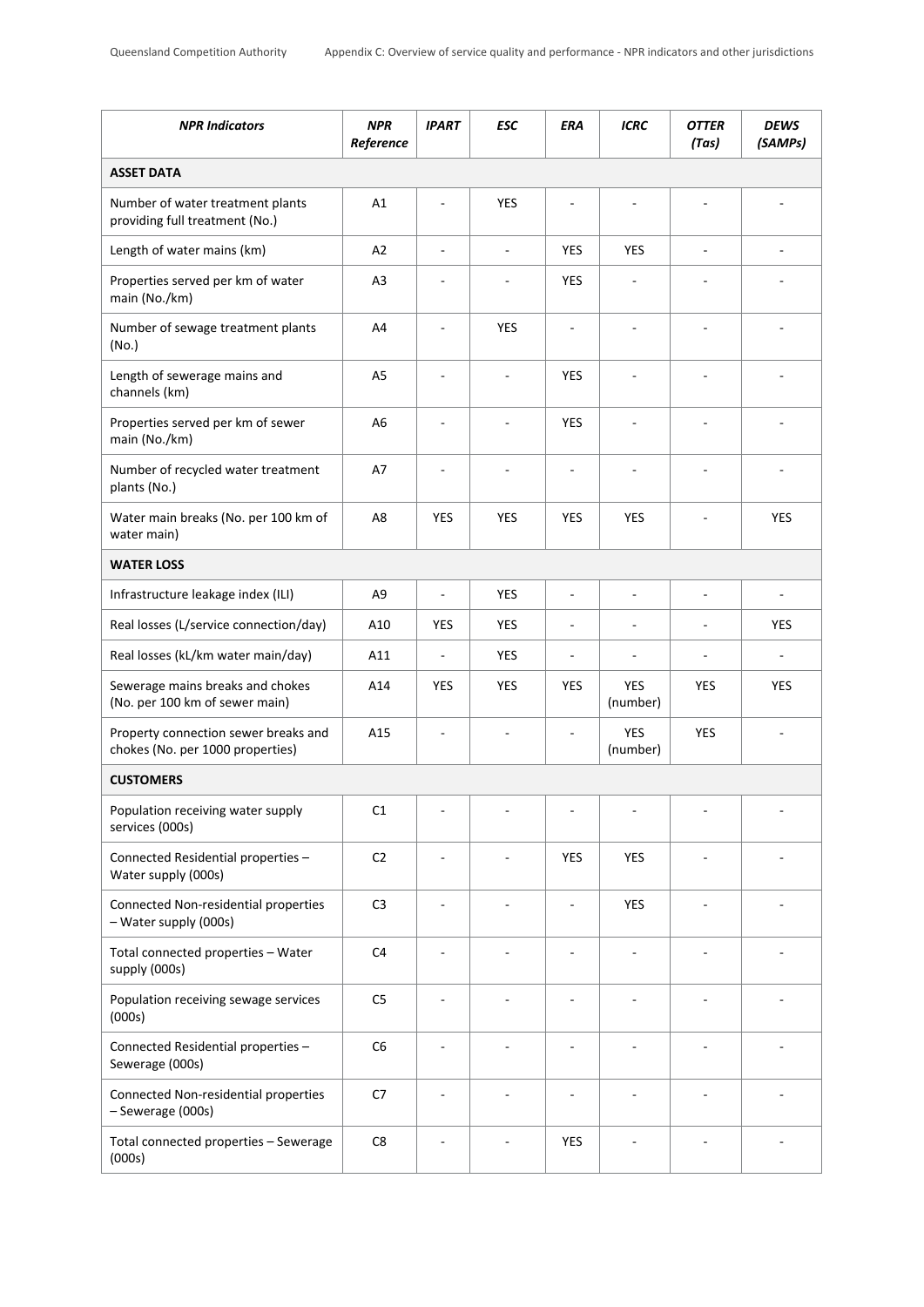| <b>NPR Indicators</b>                                                    | <b>NPR</b><br>Reference | <b>IPART</b>             | <b>ESC</b> | ERA                      | ICRC                   | <b>OTTER</b><br>(Tas) | <b>DEWS</b><br>(SAMPs) |
|--------------------------------------------------------------------------|-------------------------|--------------------------|------------|--------------------------|------------------------|-----------------------|------------------------|
| <b>ASSET DATA</b>                                                        |                         |                          |            |                          |                        |                       |                        |
| Number of water treatment plants<br>providing full treatment (No.)       | A1                      |                          | <b>YES</b> |                          |                        |                       |                        |
| Length of water mains (km)                                               | A2                      | ÷,                       | ÷,         | YES                      | <b>YES</b>             |                       | ä,                     |
| Properties served per km of water<br>main (No./km)                       | A <sub>3</sub>          | ÷,                       | ÷          | <b>YES</b>               | ÷                      |                       |                        |
| Number of sewage treatment plants<br>(No.)                               | A4                      | ÷,                       | <b>YES</b> | ÷,                       | ä,                     | Ĭ.                    | ÷,                     |
| Length of sewerage mains and<br>channels (km)                            | A <sub>5</sub>          | ä,                       | ÷,         | <b>YES</b>               | ä,                     | ÷,                    | ä,                     |
| Properties served per km of sewer<br>main (No./km)                       | A <sub>6</sub>          |                          | ÷,         | <b>YES</b>               | ÷,                     |                       |                        |
| Number of recycled water treatment<br>plants (No.)                       | A7                      | ÷,                       |            | $\overline{\phantom{a}}$ |                        | ٠                     |                        |
| Water main breaks (No. per 100 km of<br>water main)                      | A8                      | <b>YES</b>               | <b>YES</b> | <b>YES</b>               | YES                    |                       | <b>YES</b>             |
| <b>WATER LOSS</b>                                                        |                         |                          |            |                          |                        |                       |                        |
| Infrastructure leakage index (ILI)                                       | A <sub>9</sub>          | ÷,                       | <b>YES</b> | $\blacksquare$           | ÷,                     | ÷,                    | -                      |
| Real losses (L/service connection/day)                                   | A10                     | <b>YES</b>               | <b>YES</b> | ÷                        | ٠                      | ÷,                    | <b>YES</b>             |
| Real losses (kL/km water main/day)                                       | A11                     | $\overline{\phantom{a}}$ | <b>YES</b> | $\overline{\phantom{a}}$ | ÷,                     | ÷,                    |                        |
| Sewerage mains breaks and chokes<br>(No. per 100 km of sewer main)       | A14                     | <b>YES</b>               | <b>YES</b> | <b>YES</b>               | <b>YES</b><br>(number) | <b>YES</b>            | <b>YES</b>             |
| Property connection sewer breaks and<br>chokes (No. per 1000 properties) | A15                     | ä,                       | ä,         |                          | <b>YES</b><br>(number) | <b>YES</b>            |                        |
| <b>CUSTOMERS</b>                                                         |                         |                          |            |                          |                        |                       |                        |
| Population receiving water supply<br>services (000s)                     | C1                      |                          |            |                          |                        |                       |                        |
| Connected Residential properties -<br>Water supply (000s)                | C <sub>2</sub>          |                          |            | <b>YES</b>               | <b>YES</b>             |                       |                        |
| Connected Non-residential properties<br>- Water supply (000s)            | C <sub>3</sub>          | ä,                       |            |                          | <b>YES</b>             | ÷,                    |                        |
| Total connected properties - Water<br>supply (000s)                      | C <sub>4</sub>          | ä,                       |            |                          |                        |                       |                        |
| Population receiving sewage services<br>(000s)                           | C <sub>5</sub>          |                          |            |                          |                        |                       |                        |
| Connected Residential properties -<br>Sewerage (000s)                    | C6                      |                          |            |                          |                        |                       |                        |
| Connected Non-residential properties<br>- Sewerage (000s)                | C7                      | ÷                        |            |                          | ÷                      | ÷,                    |                        |
| Total connected properties - Sewerage<br>(000s)                          | C8                      |                          |            | <b>YES</b>               |                        |                       |                        |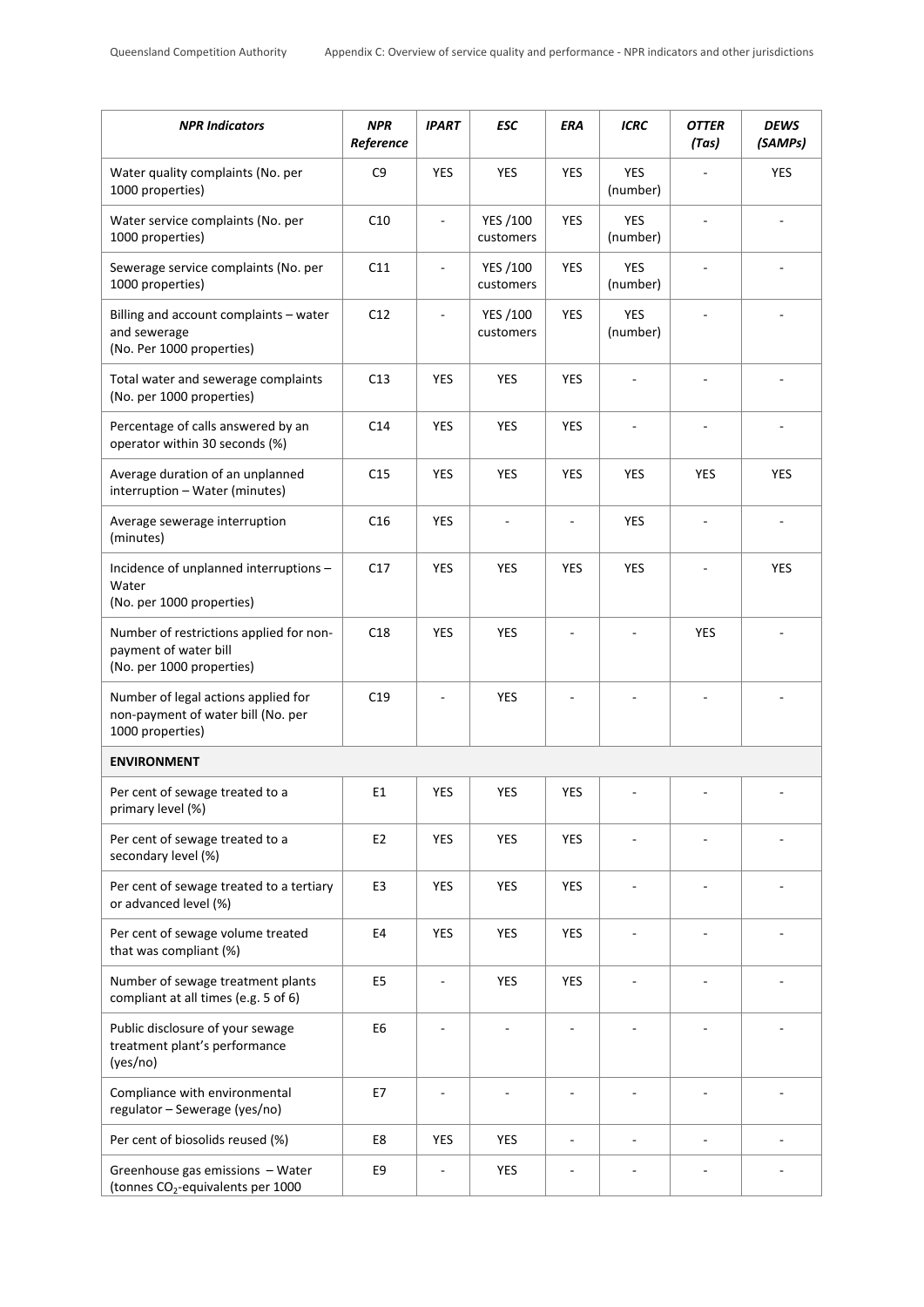| <b>NPR Indicators</b>                                                                         | <b>NPR</b><br>Reference | <b>IPART</b>  | <b>ESC</b>                   | ERA                      | <b>ICRC</b>              | <b>OTTER</b><br>(Tas)    | <b>DEWS</b><br>(SAMPs) |
|-----------------------------------------------------------------------------------------------|-------------------------|---------------|------------------------------|--------------------------|--------------------------|--------------------------|------------------------|
| Water quality complaints (No. per<br>1000 properties)                                         | C <sub>9</sub>          | <b>YES</b>    | YES                          | <b>YES</b>               | <b>YES</b><br>(number)   |                          | <b>YES</b>             |
| Water service complaints (No. per<br>1000 properties)                                         | C10                     |               | YES /100<br>customers        | YES                      | <b>YES</b><br>(number)   |                          |                        |
| Sewerage service complaints (No. per<br>1000 properties)                                      | C11                     | ä,            | <b>YES /100</b><br>customers | <b>YES</b>               | <b>YES</b><br>(number)   |                          |                        |
| Billing and account complaints - water<br>and sewerage<br>(No. Per 1000 properties)           | C12                     |               | YES /100<br>customers        | YES                      | <b>YES</b><br>(number)   |                          |                        |
| Total water and sewerage complaints<br>(No. per 1000 properties)                              | C13                     | <b>YES</b>    | YES                          | <b>YES</b>               |                          |                          |                        |
| Percentage of calls answered by an<br>operator within 30 seconds (%)                          | C <sub>14</sub>         | <b>YES</b>    | YES                          | YES                      |                          |                          |                        |
| Average duration of an unplanned<br>interruption - Water (minutes)                            | C <sub>15</sub>         | <b>YES</b>    | YES                          | YES                      | <b>YES</b>               | <b>YES</b>               | <b>YES</b>             |
| Average sewerage interruption<br>(minutes)                                                    | C16                     | <b>YES</b>    |                              |                          | <b>YES</b>               | $\overline{\phantom{a}}$ |                        |
| Incidence of unplanned interruptions -<br>Water<br>(No. per 1000 properties)                  | C17                     | <b>YES</b>    | YES                          | YES                      | <b>YES</b>               |                          | <b>YES</b>             |
| Number of restrictions applied for non-<br>payment of water bill<br>(No. per 1000 properties) | C18                     | <b>YES</b>    | <b>YES</b>                   |                          |                          | <b>YES</b>               |                        |
| Number of legal actions applied for<br>non-payment of water bill (No. per<br>1000 properties) | C19                     |               | YES                          |                          |                          |                          |                        |
| <b>ENVIRONMENT</b>                                                                            |                         |               |                              |                          |                          |                          |                        |
| Per cent of sewage treated to a<br>primary level (%)                                          | E1                      | <b>YES</b>    | YES                          | YES                      |                          |                          |                        |
| Per cent of sewage treated to a<br>secondary level (%)                                        | E <sub>2</sub>          | <b>YES</b>    | <b>YES</b>                   | <b>YES</b>               |                          |                          |                        |
| Per cent of sewage treated to a tertiary<br>or advanced level (%)                             | E <sub>3</sub>          | <b>YES</b>    | <b>YES</b>                   | <b>YES</b>               | $\overline{a}$           | $\overline{\phantom{a}}$ |                        |
| Per cent of sewage volume treated<br>that was compliant (%)                                   | E4                      | <b>YES</b>    | <b>YES</b>                   | <b>YES</b>               |                          |                          |                        |
| Number of sewage treatment plants<br>compliant at all times (e.g. 5 of 6)                     | E <sub>5</sub>          | $\frac{1}{2}$ | <b>YES</b>                   | <b>YES</b>               | $\overline{\phantom{a}}$ | $\sim$                   |                        |
| Public disclosure of your sewage<br>treatment plant's performance<br>(yes/no)                 | E <sub>6</sub>          |               |                              |                          |                          |                          |                        |
| Compliance with environmental<br>regulator - Sewerage (yes/no)                                | E7                      | ÷,            | ٠                            | $\overline{\phantom{a}}$ | ÷,                       | $\overline{\phantom{a}}$ |                        |
| Per cent of biosolids reused (%)                                                              | E8                      | <b>YES</b>    | YES                          |                          | $\overline{\phantom{a}}$ | $\overline{\phantom{a}}$ |                        |
| Greenhouse gas emissions - Water<br>(tonnes CO <sub>2</sub> -equivalents per 1000             | E9                      |               | YES                          |                          |                          |                          |                        |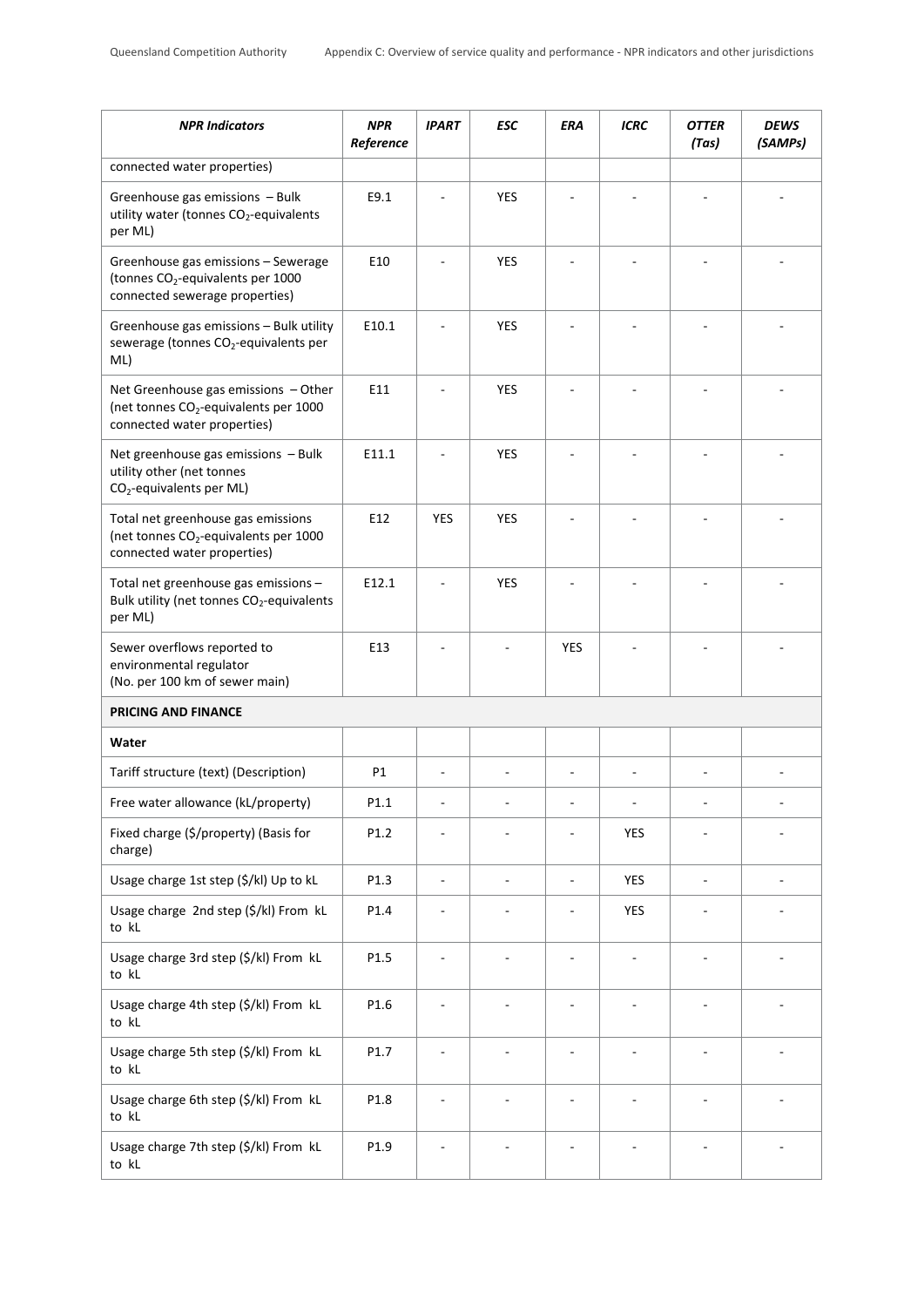| <b>NPR Indicators</b>                                                                                                      | <b>NPR</b><br>Reference | <b>IPART</b>             | ESC        | ERA        | <b>ICRC</b> | <b>OTTER</b><br>(Tas) | <b>DEWS</b><br>(SAMPs) |
|----------------------------------------------------------------------------------------------------------------------------|-------------------------|--------------------------|------------|------------|-------------|-----------------------|------------------------|
| connected water properties)                                                                                                |                         |                          |            |            |             |                       |                        |
| Greenhouse gas emissions - Bulk<br>utility water (tonnes CO <sub>2</sub> -equivalents<br>per ML)                           | E9.1                    |                          | YES        |            |             |                       |                        |
| Greenhouse gas emissions - Sewerage<br>(tonnes CO <sub>2</sub> -equivalents per 1000<br>connected sewerage properties)     | E10                     |                          | <b>YES</b> |            |             |                       |                        |
| Greenhouse gas emissions - Bulk utility<br>sewerage (tonnes CO <sub>2</sub> -equivalents per<br>ML)                        | E10.1                   |                          | <b>YES</b> |            |             |                       |                        |
| Net Greenhouse gas emissions $-$ Other<br>(net tonnes CO <sub>2</sub> -equivalents per 1000<br>connected water properties) | E11                     |                          | <b>YES</b> |            |             |                       |                        |
| Net greenhouse gas emissions - Bulk<br>utility other (net tonnes<br>CO <sub>2</sub> -equivalents per ML)                   | E11.1                   |                          | <b>YES</b> |            |             |                       |                        |
| Total net greenhouse gas emissions<br>(net tonnes CO <sub>2</sub> -equivalents per 1000<br>connected water properties)     | E12                     | YES                      | <b>YES</b> |            |             |                       |                        |
| Total net greenhouse gas emissions -<br>Bulk utility (net tonnes CO <sub>2</sub> -equivalents<br>per ML)                   | E12.1                   |                          | <b>YES</b> |            |             |                       |                        |
| Sewer overflows reported to<br>environmental regulator<br>(No. per 100 km of sewer main)                                   | E13                     |                          |            | <b>YES</b> |             |                       |                        |
| <b>PRICING AND FINANCE</b>                                                                                                 |                         |                          |            |            |             |                       |                        |
| Water                                                                                                                      |                         |                          |            |            |             |                       |                        |
| Tariff structure (text) (Description)                                                                                      | P1                      |                          |            |            |             |                       |                        |
| Free water allowance (kL/property)                                                                                         | P1.1                    |                          |            |            |             |                       |                        |
| Fixed charge (\$/property) (Basis for<br>charge)                                                                           | P1.2                    |                          |            |            | YES         |                       |                        |
| Usage charge 1st step (\$/kl) Up to kL                                                                                     | P1.3                    | $\overline{\phantom{a}}$ | ÷,         | ÷          | <b>YES</b>  | ÷,                    |                        |
| Usage charge 2nd step (\$/kl) From kL<br>to kL                                                                             | P1.4                    |                          |            |            | YES         |                       |                        |
| Usage charge 3rd step (\$/kl) From kL<br>to kL                                                                             | P1.5                    |                          |            |            | ÷           |                       |                        |
| Usage charge 4th step (\$/kl) From kL<br>to kL                                                                             | P1.6                    |                          |            |            |             |                       |                        |
| Usage charge 5th step (\$/kl) From kL<br>to kL                                                                             | P1.7                    |                          |            |            |             |                       |                        |
| Usage charge 6th step (\$/kl) From kL<br>to kL                                                                             | P1.8                    |                          |            |            |             |                       |                        |
| Usage charge 7th step (\$/kl) From kL<br>to kL                                                                             | P1.9                    |                          |            |            |             |                       |                        |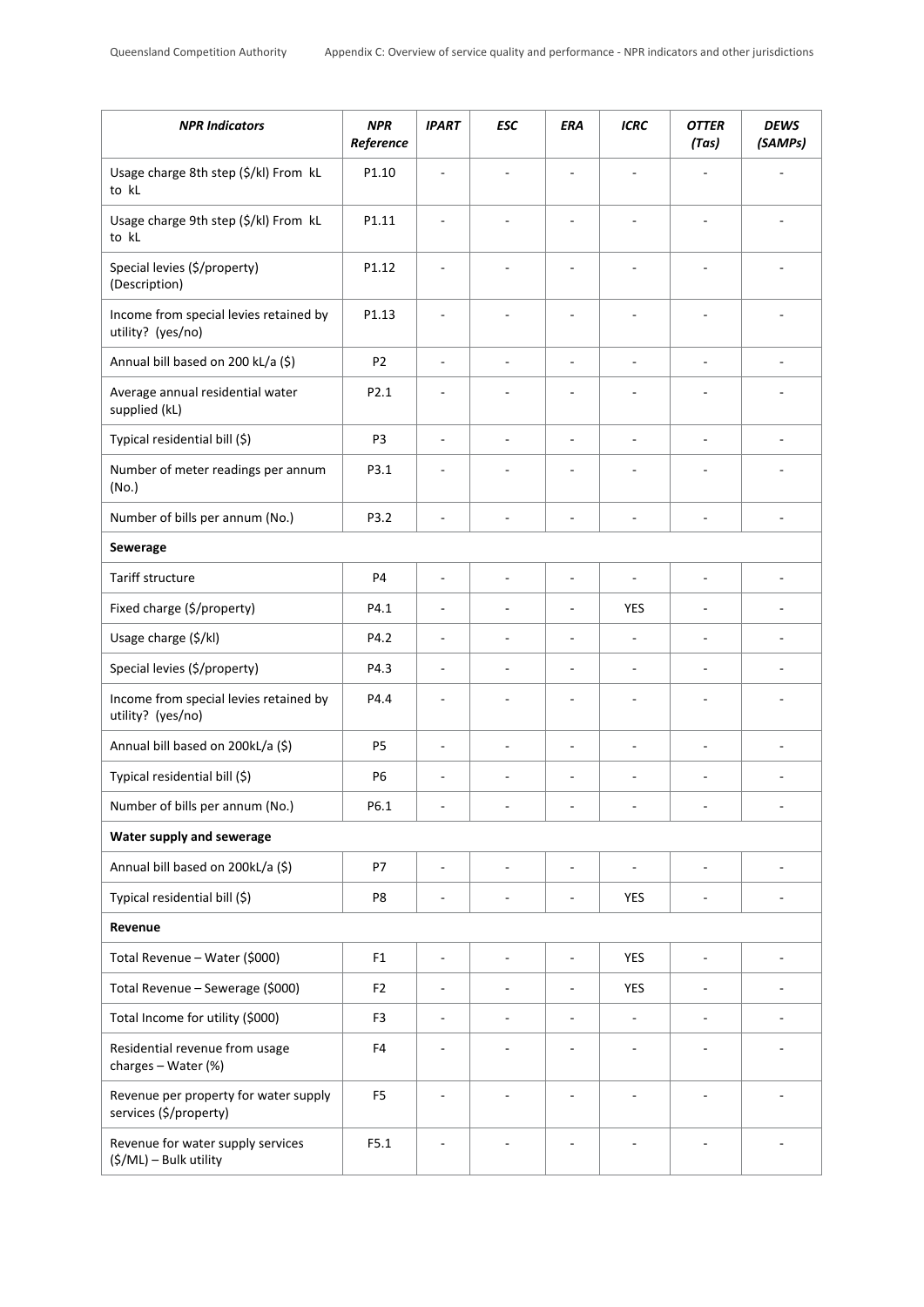| <b>NPR Indicators</b>                                           | <b>NPR</b><br>Reference | <b>IPART</b>                 | <b>ESC</b>               | ERA                      | <b>ICRC</b>              | <b>OTTER</b><br>(Tas)    | <b>DEWS</b><br>(SAMPs)       |
|-----------------------------------------------------------------|-------------------------|------------------------------|--------------------------|--------------------------|--------------------------|--------------------------|------------------------------|
| Usage charge 8th step (\$/kl) From kL<br>to kL                  | P1.10                   |                              |                          |                          |                          |                          |                              |
| Usage charge 9th step (\$/kl) From kL<br>to kL                  | P1.11                   |                              |                          |                          |                          |                          |                              |
| Special levies (\$/property)<br>(Description)                   | P1.12                   |                              |                          |                          |                          |                          |                              |
| Income from special levies retained by<br>utility? (yes/no)     | P1.13                   | ٠                            |                          | $\overline{\phantom{a}}$ | ÷,                       | ÷,                       | ٠                            |
| Annual bill based on 200 kL/a (\$)                              | P <sub>2</sub>          | ÷,                           | L,                       | ÷,                       | $\sim$                   | ÷,                       | ÷,                           |
| Average annual residential water<br>supplied (kL)               | P <sub>2.1</sub>        | ÷,                           |                          | $\overline{a}$           | ä,                       |                          |                              |
| Typical residential bill (\$)                                   | P3                      | L,                           |                          | ÷,                       | ÷,                       |                          |                              |
| Number of meter readings per annum<br>(No.)                     | P3.1                    |                              |                          |                          |                          |                          |                              |
| Number of bills per annum (No.)                                 | P3.2                    | ä,                           | ÷,                       | $\overline{\phantom{a}}$ | $\overline{\phantom{a}}$ | ÷,                       | ÷,                           |
| Sewerage                                                        |                         |                              |                          |                          |                          |                          |                              |
| Tariff structure                                                | P <sub>4</sub>          | ÷,                           | ÷,                       | ä,                       | ÷,                       | L.                       | ÷,                           |
| Fixed charge (\$/property)                                      | P4.1                    | ä,                           |                          | $\overline{a}$           | YES                      | $\overline{a}$           |                              |
| Usage charge (\$/kl)                                            | P4.2                    | ä,                           | ÷,                       | ÷,                       | $\overline{\phantom{a}}$ | $\overline{\phantom{a}}$ | ÷                            |
| Special levies (\$/property)                                    | P4.3                    | ä,                           | ÷,                       | $\overline{\phantom{a}}$ | $\overline{\phantom{a}}$ | ÷,                       | ä,                           |
| Income from special levies retained by<br>utility? (yes/no)     | P4.4                    | ÷,                           |                          | ä,                       |                          | ÷,                       | ä,                           |
| Annual bill based on 200kL/a (\$)                               | P <sub>5</sub>          | ÷,                           | $\overline{a}$           | $\overline{\phantom{a}}$ | $\overline{\phantom{a}}$ | ÷,                       | ÷,                           |
| Typical residential bill (\$)                                   | P <sub>6</sub>          | ÷,                           | -                        | $\overline{a}$           | ÷,                       | $\overline{a}$           | ÷                            |
| Number of bills per annum (No.)                                 | P6.1                    | $\overline{\phantom{m}}$     |                          | $\overline{\phantom{a}}$ | $\overline{\phantom{a}}$ | $\overline{a}$           | $\overline{\phantom{a}}$     |
| Water supply and sewerage                                       |                         |                              |                          |                          |                          |                          |                              |
| Annual bill based on 200kL/a (\$)                               | P7                      | $\frac{1}{2}$                | ÷,                       | $\overline{\phantom{a}}$ | $\overline{\phantom{a}}$ | $\overline{\phantom{a}}$ | ÷,                           |
| Typical residential bill (\$)                                   | P8                      | $\overline{a}$               | ÷,                       | $\overline{\phantom{a}}$ | YES                      | $\blacksquare$           | ÷                            |
| Revenue                                                         |                         |                              |                          |                          |                          |                          |                              |
| Total Revenue - Water (\$000)                                   | F1                      | $\qquad \qquad \blacksquare$ | $\overline{\phantom{a}}$ | $\blacksquare$           | <b>YES</b>               | $\overline{\phantom{a}}$ | $\qquad \qquad \blacksquare$ |
| Total Revenue - Sewerage (\$000)                                | F <sub>2</sub>          | $\qquad \qquad \blacksquare$ | -                        | $\blacksquare$           | <b>YES</b>               | $\overline{a}$           | $\qquad \qquad \blacksquare$ |
| Total Income for utility (\$000)                                | F3                      | $\overline{a}$               | ÷,                       | $\overline{\phantom{a}}$ | $\overline{\phantom{a}}$ | $\overline{a}$           | ÷                            |
| Residential revenue from usage<br>charges - Water (%)           | F4                      |                              |                          | $\overline{\phantom{a}}$ | ÷,                       |                          | ÷                            |
| Revenue per property for water supply<br>services (\$/property) | F <sub>5</sub>          | $\overline{a}$               |                          | ÷,                       | ÷                        |                          |                              |
| Revenue for water supply services<br>(\$/ML) - Bulk utility     | F5.1                    | ÷,                           |                          | $\overline{\phantom{a}}$ | ÷                        | ÷,                       | ÷,                           |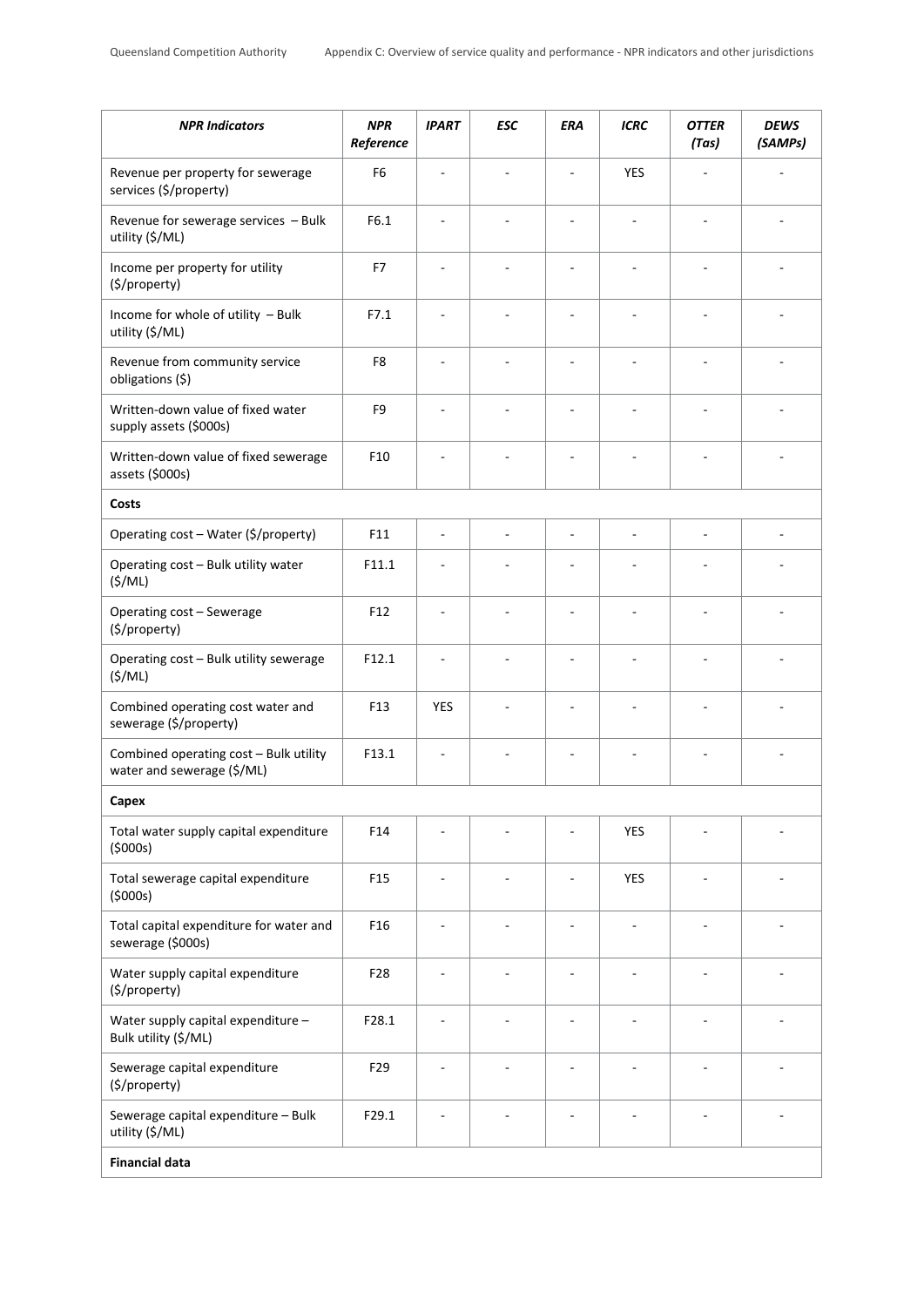| <b>NPR Indicators</b>                                                | <b>NPR</b><br>Reference | <b>IPART</b>             | <b>ESC</b>               | ERA                      | <b>ICRC</b>    | <b>OTTER</b><br>(Tas)    | <b>DEWS</b><br>(SAMPs) |
|----------------------------------------------------------------------|-------------------------|--------------------------|--------------------------|--------------------------|----------------|--------------------------|------------------------|
| Revenue per property for sewerage<br>services (\$/property)          | F <sub>6</sub>          |                          |                          |                          | <b>YES</b>     |                          |                        |
| Revenue for sewerage services - Bulk<br>utility (\$/ML)              | F6.1                    | $\overline{a}$           | $\overline{a}$           | $\overline{\phantom{a}}$ | $\overline{a}$ | $\overline{\phantom{a}}$ |                        |
| Income per property for utility<br>(\$/property)                     | F7                      |                          | $\overline{\phantom{a}}$ |                          |                | $\overline{\phantom{a}}$ |                        |
| Income for whole of utility - Bulk<br>utility (\$/ML)                | F7.1                    | ä,                       |                          |                          |                | ä,                       |                        |
| Revenue from community service<br>obligations (\$)                   | F8                      | ÷.                       |                          |                          |                |                          |                        |
| Written-down value of fixed water<br>supply assets (\$000s)          | F <sub>9</sub>          | ä,                       |                          |                          |                | ÷,                       |                        |
| Written-down value of fixed sewerage<br>assets (\$000s)              | F10                     |                          |                          |                          |                |                          |                        |
| Costs                                                                |                         |                          |                          |                          |                |                          |                        |
| Operating cost - Water (\$/property)                                 | F11                     | $\bar{a}$                | ÷,                       | Ĭ.                       |                | ÷,                       |                        |
| Operating cost - Bulk utility water<br>(S/ML)                        | F11.1                   |                          |                          |                          |                |                          |                        |
| Operating cost - Sewerage<br>(\$/property)                           | F <sub>12</sub>         | ÷,                       |                          | ÷                        | ۰              | $\overline{\phantom{a}}$ |                        |
| Operating cost - Bulk utility sewerage<br>(S/ML)                     | F12.1                   |                          |                          |                          |                |                          |                        |
| Combined operating cost water and<br>sewerage (\$/property)          | F13                     | <b>YES</b>               |                          |                          |                | L,                       |                        |
| Combined operating cost - Bulk utility<br>water and sewerage (\$/ML) | F13.1                   |                          |                          |                          |                | ÷,                       |                        |
| Capex                                                                |                         |                          |                          |                          |                |                          |                        |
| Total water supply capital expenditure<br>(5000s)                    | F14                     |                          |                          |                          | <b>YES</b>     |                          |                        |
| Total sewerage capital expenditure<br>(5000s)                        | F <sub>15</sub>         | ä,                       |                          |                          | YES            |                          |                        |
| Total capital expenditure for water and<br>sewerage (\$000s)         | F <sub>16</sub>         | $\overline{\phantom{a}}$ |                          |                          |                |                          |                        |
| Water supply capital expenditure<br>(\$/property)                    | F <sub>28</sub>         |                          |                          |                          |                | ÷,                       |                        |
| Water supply capital expenditure -<br>Bulk utility (\$/ML)           | F28.1                   | ÷,                       |                          |                          |                |                          |                        |
| Sewerage capital expenditure<br>(\$/property)                        | F <sub>29</sub>         | $\overline{a}$           | $\overline{\phantom{a}}$ | ÷,                       | $\overline{a}$ | $\overline{\phantom{a}}$ |                        |
| Sewerage capital expenditure - Bulk<br>utility (\$/ML)               | F29.1                   | ÷,                       |                          |                          |                | ÷                        |                        |
| <b>Financial data</b>                                                |                         |                          |                          |                          |                |                          |                        |